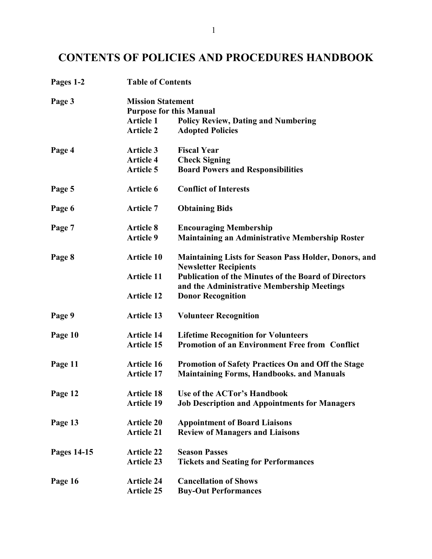# CONTENTS OF POLICIES AND PROCEDURES HANDBOOK

| Pages 1-2   | <b>Table of Contents</b>       |                                                                                                           |  |
|-------------|--------------------------------|-----------------------------------------------------------------------------------------------------------|--|
| Page 3      | <b>Mission Statement</b>       |                                                                                                           |  |
|             | <b>Purpose for this Manual</b> |                                                                                                           |  |
|             | <b>Article 1</b>               | <b>Policy Review, Dating and Numbering</b>                                                                |  |
|             | <b>Article 2</b>               | <b>Adopted Policies</b>                                                                                   |  |
| Page 4      | <b>Article 3</b>               | <b>Fiscal Year</b>                                                                                        |  |
|             | <b>Article 4</b>               | <b>Check Signing</b>                                                                                      |  |
|             | <b>Article 5</b>               | <b>Board Powers and Responsibilities</b>                                                                  |  |
| Page 5      | <b>Article 6</b>               | <b>Conflict of Interests</b>                                                                              |  |
| Page 6      | <b>Article 7</b>               | <b>Obtaining Bids</b>                                                                                     |  |
| Page 7      | <b>Article 8</b>               | <b>Encouraging Membership</b>                                                                             |  |
|             | <b>Article 9</b>               | <b>Maintaining an Administrative Membership Roster</b>                                                    |  |
| Page 8      | <b>Article 10</b>              | <b>Maintaining Lists for Season Pass Holder, Donors, and</b><br><b>Newsletter Recipients</b>              |  |
|             | <b>Article 11</b>              | <b>Publication of the Minutes of the Board of Directors</b><br>and the Administrative Membership Meetings |  |
|             | <b>Article 12</b>              | <b>Donor Recognition</b>                                                                                  |  |
| Page 9      | <b>Article 13</b>              | <b>Volunteer Recognition</b>                                                                              |  |
| Page 10     | <b>Article 14</b>              | <b>Lifetime Recognition for Volunteers</b>                                                                |  |
|             | <b>Article 15</b>              | <b>Promotion of an Environment Free from Conflict</b>                                                     |  |
| Page 11     | <b>Article 16</b>              | Promotion of Safety Practices On and Off the Stage                                                        |  |
|             | <b>Article 17</b>              | <b>Maintaining Forms, Handbooks. and Manuals</b>                                                          |  |
| Page 12     | <b>Article 18</b>              | Use of the ACTor's Handbook                                                                               |  |
|             | <b>Article 19</b>              | <b>Job Description and Appointments for Managers</b>                                                      |  |
| Page 13     | <b>Article 20</b>              | <b>Appointment of Board Liaisons</b>                                                                      |  |
|             | <b>Article 21</b>              | <b>Review of Managers and Liaisons</b>                                                                    |  |
| Pages 14-15 | <b>Article 22</b>              | <b>Season Passes</b>                                                                                      |  |
|             | <b>Article 23</b>              | <b>Tickets and Seating for Performances</b>                                                               |  |
| Page 16     | <b>Article 24</b>              | <b>Cancellation of Shows</b>                                                                              |  |
|             | <b>Article 25</b>              | <b>Buy-Out Performances</b>                                                                               |  |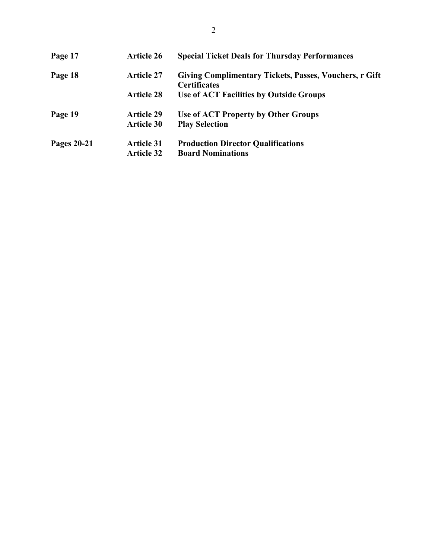| Page 17            | <b>Article 26</b> | <b>Special Ticket Deals for Thursday Performances</b>                         |
|--------------------|-------------------|-------------------------------------------------------------------------------|
| Page 18            | <b>Article 27</b> | Giving Complimentary Tickets, Passes, Vouchers, r Gift<br><b>Certificates</b> |
|                    | <b>Article 28</b> | Use of ACT Facilities by Outside Groups                                       |
| Page 19            | <b>Article 29</b> | Use of ACT Property by Other Groups                                           |
|                    | <b>Article 30</b> | <b>Play Selection</b>                                                         |
| <b>Pages 20-21</b> | <b>Article 31</b> | <b>Production Director Qualifications</b>                                     |
|                    | <b>Article 32</b> | <b>Board Nominations</b>                                                      |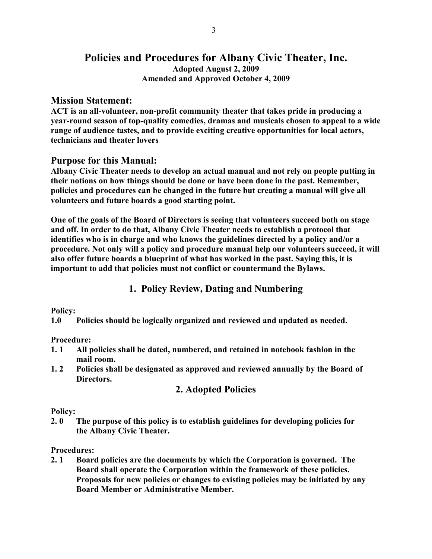## Policies and Procedures for Albany Civic Theater, Inc. Adopted August 2, 2009 Amended and Approved October 4, 2009

#### Mission Statement:

ACT is an all-volunteer, non-profit community theater that takes pride in producing a year-round season of top-quality comedies, dramas and musicals chosen to appeal to a wide range of audience tastes, and to provide exciting creative opportunities for local actors, technicians and theater lovers

#### Purpose for this Manual:

Albany Civic Theater needs to develop an actual manual and not rely on people putting in their notions on how things should be done or have been done in the past. Remember, policies and procedures can be changed in the future but creating a manual will give all volunteers and future boards a good starting point.

One of the goals of the Board of Directors is seeing that volunteers succeed both on stage and off. In order to do that, Albany Civic Theater needs to establish a protocol that identifies who is in charge and who knows the guidelines directed by a policy and/or a procedure. Not only will a policy and procedure manual help our volunteers succeed, it will also offer future boards a blueprint of what has worked in the past. Saying this, it is important to add that policies must not conflict or countermand the Bylaws.

### 1. Policy Review, Dating and Numbering

#### Policy:

1.0 Policies should be logically organized and reviewed and updated as needed.

#### Procedure:

- 1. 1 All policies shall be dated, numbered, and retained in notebook fashion in the mail room.
- 1. 2 Policies shall be designated as approved and reviewed annually by the Board of Directors.

# 2. Adopted Policies

#### Policy:

2. 0 The purpose of this policy is to establish guidelines for developing policies for the Albany Civic Theater.

#### Procedures:

2. 1 Board policies are the documents by which the Corporation is governed. The Board shall operate the Corporation within the framework of these policies. Proposals for new policies or changes to existing policies may be initiated by any Board Member or Administrative Member.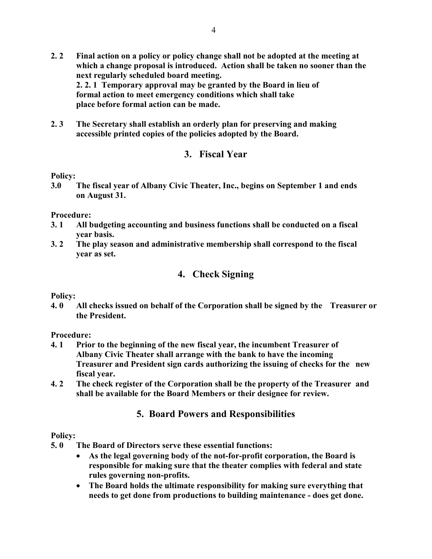- 2. 2 Final action on a policy or policy change shall not be adopted at the meeting at which a change proposal is introduced. Action shall be taken no sooner than the next regularly scheduled board meeting. 2. 2. 1 Temporary approval may be granted by the Board in lieu of formal action to meet emergency conditions which shall take place before formal action can be made.
- 2. 3 The Secretary shall establish an orderly plan for preserving and making accessible printed copies of the policies adopted by the Board.

### 3. Fiscal Year

#### Policy:

3.0 The fiscal year of Albany Civic Theater, Inc., begins on September 1 and ends on August 31.

#### Procedure:

- 3. 1 All budgeting accounting and business functions shall be conducted on a fiscal year basis.
- 3. 2 The play season and administrative membership shall correspond to the fiscal year as set.

### 4. Check Signing

#### Policy:

4. 0 All checks issued on behalf of the Corporation shall be signed by the Treasurer or the President.

#### Procedure:

- 4. 1 Prior to the beginning of the new fiscal year, the incumbent Treasurer of Albany Civic Theater shall arrange with the bank to have the incoming Treasurer and President sign cards authorizing the issuing of checks for the new fiscal year.
- 4. 2 The check register of the Corporation shall be the property of the Treasurer and shall be available for the Board Members or their designee for review.

### 5. Board Powers and Responsibilities

#### Policy:

- 5. 0 The Board of Directors serve these essential functions:
	- As the legal governing body of the not-for-profit corporation, the Board is responsible for making sure that the theater complies with federal and state rules governing non-profits.
	- The Board holds the ultimate responsibility for making sure everything that needs to get done from productions to building maintenance - does get done.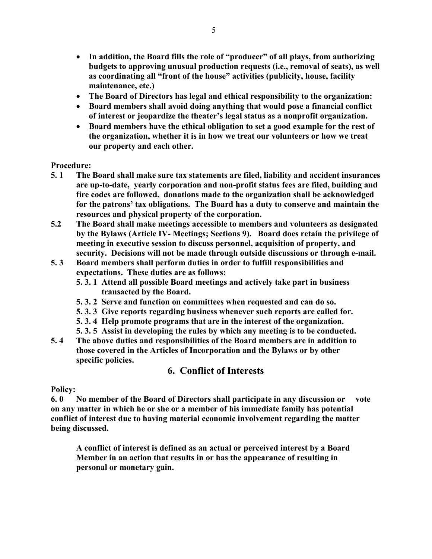- In addition, the Board fills the role of "producer" of all plays, from authorizing budgets to approving unusual production requests (i.e., removal of seats), as well as coordinating all "front of the house" activities (publicity, house, facility maintenance, etc.)
- The Board of Directors has legal and ethical responsibility to the organization:
- Board members shall avoid doing anything that would pose a financial conflict of interest or jeopardize the theater's legal status as a nonprofit organization.
- Board members have the ethical obligation to set a good example for the rest of the organization, whether it is in how we treat our volunteers or how we treat our property and each other.

#### Procedure:

- 5. 1 The Board shall make sure tax statements are filed, liability and accident insurances are up-to-date, yearly corporation and non-profit status fees are filed, building and fire codes are followed, donations made to the organization shall be acknowledged for the patrons' tax obligations. The Board has a duty to conserve and maintain the resources and physical property of the corporation.
- 5.2 The Board shall make meetings accessible to members and volunteers as designated by the Bylaws (Article IV- Meetings; Sections 9). Board does retain the privilege of meeting in executive session to discuss personnel, acquisition of property, and security. Decisions will not be made through outside discussions or through e-mail.
- 5. 3 Board members shall perform duties in order to fulfill responsibilities and expectations. These duties are as follows:
	- 5. 3. 1 Attend all possible Board meetings and actively take part in business transacted by the Board.
	- 5. 3. 2 Serve and function on committees when requested and can do so.
	- 5. 3. 3 Give reports regarding business whenever such reports are called for.
	- 5. 3. 4 Help promote programs that are in the interest of the organization.
	- 5. 3. 5 Assist in developing the rules by which any meeting is to be conducted.
- 5. 4 The above duties and responsibilities of the Board members are in addition to those covered in the Articles of Incorporation and the Bylaws or by other specific policies.

# 6. Conflict of Interests

#### Policy:

6. 0 No member of the Board of Directors shall participate in any discussion or vote on any matter in which he or she or a member of his immediate family has potential conflict of interest due to having material economic involvement regarding the matter being discussed.

 A conflict of interest is defined as an actual or perceived interest by a Board Member in an action that results in or has the appearance of resulting in personal or monetary gain.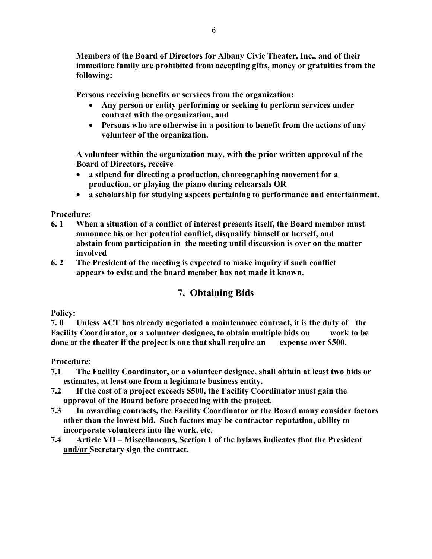Members of the Board of Directors for Albany Civic Theater, Inc., and of their immediate family are prohibited from accepting gifts, money or gratuities from the following:

Persons receiving benefits or services from the organization:

- Any person or entity performing or seeking to perform services under contract with the organization, and
- Persons who are otherwise in a position to benefit from the actions of any volunteer of the organization.

 A volunteer within the organization may, with the prior written approval of the Board of Directors, receive

- a stipend for directing a production, choreographing movement for a production, or playing the piano during rehearsals OR
- a scholarship for studying aspects pertaining to performance and entertainment.

#### Procedure:

- 6. 1 When a situation of a conflict of interest presents itself, the Board member must announce his or her potential conflict, disqualify himself or herself, and abstain from participation in the meeting until discussion is over on the matter involved
- 6. 2 The President of the meeting is expected to make inquiry if such conflict appears to exist and the board member has not made it known.

# 7. Obtaining Bids

#### Policy:

7. 0 Unless ACT has already negotiated a maintenance contract, it is the duty of the Facility Coordinator, or a volunteer designee, to obtain multiple bids on work to be done at the theater if the project is one that shall require an expense over \$500.

- 7.1 The Facility Coordinator, or a volunteer designee, shall obtain at least two bids or estimates, at least one from a legitimate business entity.
- 7.2 If the cost of a project exceeds \$500, the Facility Coordinator must gain the approval of the Board before proceeding with the project.
- 7.3 In awarding contracts, the Facility Coordinator or the Board many consider factors other than the lowest bid. Such factors may be contractor reputation, ability to incorporate volunteers into the work, etc.
- 7.4 Article VII Miscellaneous, Section 1 of the bylaws indicates that the President and/or Secretary sign the contract.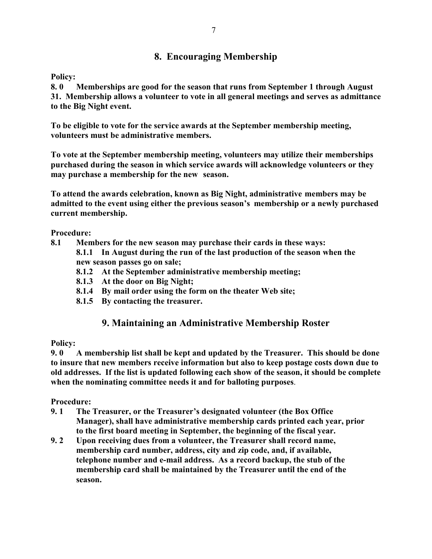# 8. Encouraging Membership

Policy:

8. 0 Memberships are good for the season that runs from September 1 through August 31. Membership allows a volunteer to vote in all general meetings and serves as admittance to the Big Night event.

To be eligible to vote for the service awards at the September membership meeting, volunteers must be administrative members.

To vote at the September membership meeting, volunteers may utilize their memberships purchased during the season in which service awards will acknowledge volunteers or they may purchase a membership for the new season.

To attend the awards celebration, known as Big Night, administrative members may be admitted to the event using either the previous season's membership or a newly purchased current membership.

Procedure:

- 8.1 Members for the new season may purchase their cards in these ways: 8.1.1 In August during the run of the last production of the season when the
	- new season passes go on sale;
	- 8.1.2 At the September administrative membership meeting;
	- 8.1.3 At the door on Big Night;
	- 8.1.4 By mail order using the form on the theater Web site;
	- 8.1.5 By contacting the treasurer.

# 9. Maintaining an Administrative Membership Roster

#### Policy:

9. 0 A membership list shall be kept and updated by the Treasurer. This should be done to insure that new members receive information but also to keep postage costs down due to old addresses. If the list is updated following each show of the season, it should be complete when the nominating committee needs it and for balloting purposes.

- 9. 1 The Treasurer, or the Treasurer's designated volunteer (the Box Office Manager), shall have administrative membership cards printed each year, prior to the first board meeting in September, the beginning of the fiscal year.
- 9. 2 Upon receiving dues from a volunteer, the Treasurer shall record name, membership card number, address, city and zip code, and, if available, telephone number and e-mail address. As a record backup, the stub of the membership card shall be maintained by the Treasurer until the end of the season.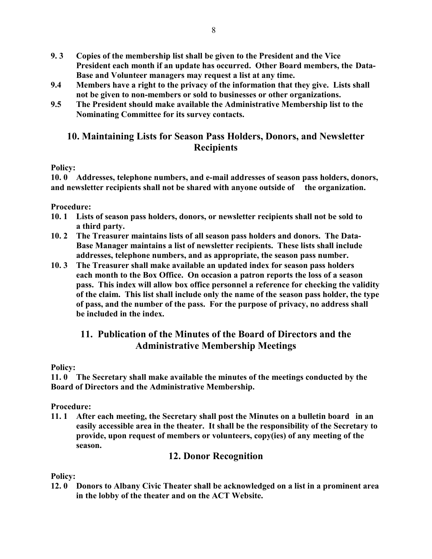- 9. 3 Copies of the membership list shall be given to the President and the Vice President each month if an update has occurred. Other Board members, the Data- Base and Volunteer managers may request a list at any time.
- 9.4 Members have a right to the privacy of the information that they give. Lists shall not be given to non-members or sold to businesses or other organizations.
- 9.5 The President should make available the Administrative Membership list to the Nominating Committee for its survey contacts.

## 10. Maintaining Lists for Season Pass Holders, Donors, and Newsletter **Recipients**

#### Policy:

10. 0 Addresses, telephone numbers, and e-mail addresses of season pass holders, donors, and newsletter recipients shall not be shared with anyone outside of the organization.

### Procedure:

- 10. 1 Lists of season pass holders, donors, or newsletter recipients shall not be sold to a third party.
- 10. 2 The Treasurer maintains lists of all season pass holders and donors. The Data- Base Manager maintains a list of newsletter recipients. These lists shall include addresses, telephone numbers, and as appropriate, the season pass number.
- 10. 3 The Treasurer shall make available an updated index for season pass holders each month to the Box Office. On occasion a patron reports the loss of a season pass. This index will allow box office personnel a reference for checking the validity of the claim. This list shall include only the name of the season pass holder, the type of pass, and the number of the pass. For the purpose of privacy, no address shall be included in the index.

# 11. Publication of the Minutes of the Board of Directors and the Administrative Membership Meetings

#### Policy:

11. 0 The Secretary shall make available the minutes of the meetings conducted by the Board of Directors and the Administrative Membership.

#### Procedure:

11. 1 After each meeting, the Secretary shall post the Minutes on a bulletin board in an easily accessible area in the theater. It shall be the responsibility of the Secretary to provide, upon request of members or volunteers, copy(ies) of any meeting of the season.

### 12. Donor Recognition

#### Policy:

12. 0 Donors to Albany Civic Theater shall be acknowledged on a list in a prominent area in the lobby of the theater and on the ACT Website.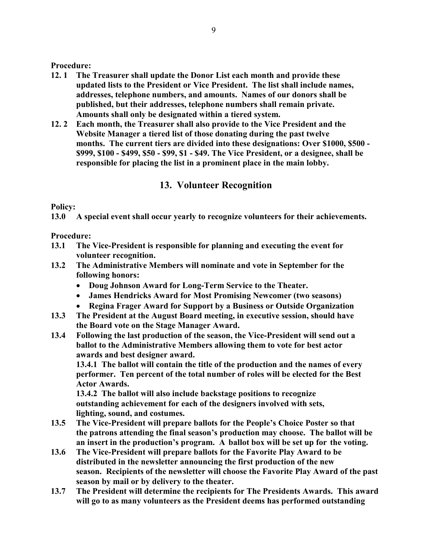#### Procedure:

- 12. 1 The Treasurer shall update the Donor List each month and provide these updated lists to the President or Vice President. The list shall include names, addresses, telephone numbers, and amounts. Names of our donors shall be published, but their addresses, telephone numbers shall remain private. Amounts shall only be designated within a tiered system.
- 12. 2 Each month, the Treasurer shall also provide to the Vice President and the Website Manager a tiered list of those donating during the past twelve months. The current tiers are divided into these designations: Over \$1000, \$500 - \$999, \$100 - \$499, \$50 - \$99, \$1 - \$49. The Vice President, or a designee, shall be responsible for placing the list in a prominent place in the main lobby.

# 13. Volunteer Recognition

### Policy:

13.0 A special event shall occur yearly to recognize volunteers for their achievements.

### Procedure:

- 13.1 The Vice-President is responsible for planning and executing the event for volunteer recognition.
- 13.2 The Administrative Members will nominate and vote in September for the following honors:
	- Doug Johnson Award for Long-Term Service to the Theater.
	- James Hendricks Award for Most Promising Newcomer (two seasons)
	- Regina Frager Award for Support by a Business or Outside Organization
- 13.3 The President at the August Board meeting, in executive session, should have the Board vote on the Stage Manager Award.
- 13.4 Following the last production of the season, the Vice-President will send out a ballot to the Administrative Members allowing them to vote for best actor awards and best designer award.

13.4.1 The ballot will contain the title of the production and the names of every performer. Ten percent of the total number of roles will be elected for the Best Actor Awards.

 13.4.2 The ballot will also include backstage positions to recognize outstanding achievement for each of the designers involved with sets, lighting, sound, and costumes.

- 13.5 The Vice-President will prepare ballots for the People's Choice Poster so that the patrons attending the final season's production may choose. The ballot will be an insert in the production's program. A ballot box will be set up for the voting.
- 13.6 The Vice-President will prepare ballots for the Favorite Play Award to be distributed in the newsletter announcing the first production of the new season. Recipients of the newsletter will choose the Favorite Play Award of the past season by mail or by delivery to the theater.
- 13.7 The President will determine the recipients for The Presidents Awards. This award will go to as many volunteers as the President deems has performed outstanding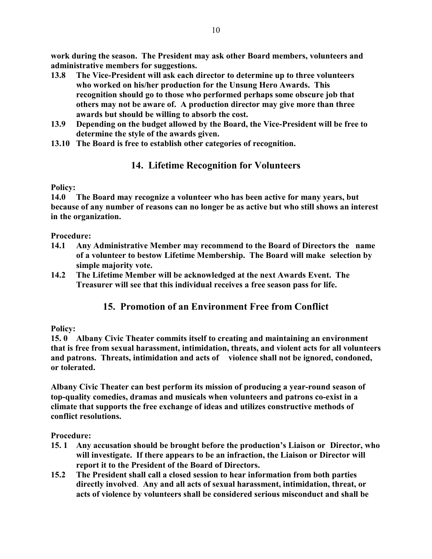work during the season. The President may ask other Board members, volunteers and administrative members for suggestions.

- 13.8 The Vice-President will ask each director to determine up to three volunteers who worked on his/her production for the Unsung Hero Awards. This recognition should go to those who performed perhaps some obscure job that others may not be aware of. A production director may give more than three awards but should be willing to absorb the cost.
- 13.9 Depending on the budget allowed by the Board, the Vice-President will be free to determine the style of the awards given.
- 13.10 The Board is free to establish other categories of recognition.

# 14. Lifetime Recognition for Volunteers

#### Policy:

14.0 The Board may recognize a volunteer who has been active for many years, but because of any number of reasons can no longer be as active but who still shows an interest in the organization.

### Procedure:

- 14.1 Any Administrative Member may recommend to the Board of Directors the name of a volunteer to bestow Lifetime Membership. The Board will make selection by simple majority vote.
- 14.2 The Lifetime Member will be acknowledged at the next Awards Event. The Treasurer will see that this individual receives a free season pass for life.

# 15. Promotion of an Environment Free from Conflict

### Policy:

15. 0 Albany Civic Theater commits itself to creating and maintaining an environment that is free from sexual harassment, intimidation, threats, and violent acts for all volunteers and patrons. Threats, intimidation and acts of violence shall not be ignored, condoned, or tolerated.

Albany Civic Theater can best perform its mission of producing a year-round season of top-quality comedies, dramas and musicals when volunteers and patrons co-exist in a climate that supports the free exchange of ideas and utilizes constructive methods of conflict resolutions.

- 15. 1 Any accusation should be brought before the production's Liaison or Director, who will investigate. If there appears to be an infraction, the Liaison or Director will report it to the President of the Board of Directors.
- 15.2 The President shall call a closed session to hear information from both parties directly involved. Any and all acts of sexual harassment, intimidation, threat, or acts of violence by volunteers shall be considered serious misconduct and shall be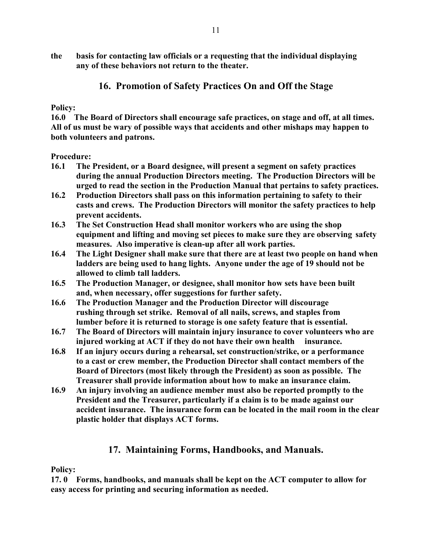the basis for contacting law officials or a requesting that the individual displaying any of these behaviors not return to the theater.

# 16. Promotion of Safety Practices On and Off the Stage

#### Policy:

16.0 The Board of Directors shall encourage safe practices, on stage and off, at all times. All of us must be wary of possible ways that accidents and other mishaps may happen to both volunteers and patrons.

Procedure:

- 16.1 The President, or a Board designee, will present a segment on safety practices during the annual Production Directors meeting. The Production Directors will be urged to read the section in the Production Manual that pertains to safety practices.
- 16.2 Production Directors shall pass on this information pertaining to safety to their casts and crews. The Production Directors will monitor the safety practices to help prevent accidents.
- 16.3 The Set Construction Head shall monitor workers who are using the shop equipment and lifting and moving set pieces to make sure they are observing safety measures. Also imperative is clean-up after all work parties.
- 16.4 The Light Designer shall make sure that there are at least two people on hand when ladders are being used to hang lights. Anyone under the age of 19 should not be allowed to climb tall ladders.
- 16.5 The Production Manager, or designee, shall monitor how sets have been built and, when necessary, offer suggestions for further safety.
- 16.6 The Production Manager and the Production Director will discourage rushing through set strike. Removal of all nails, screws, and staples from lumber before it is returned to storage is one safety feature that is essential.
- 16.7 The Board of Directors will maintain injury insurance to cover volunteers who are injured working at ACT if they do not have their own health insurance.
- 16.8 If an injury occurs during a rehearsal, set construction/strike, or a performance to a cast or crew member, the Production Director shall contact members of the Board of Directors (most likely through the President) as soon as possible. The Treasurer shall provide information about how to make an insurance claim.
- 16.9 An injury involving an audience member must also be reported promptly to the President and the Treasurer, particularly if a claim is to be made against our accident insurance. The insurance form can be located in the mail room in the clear plastic holder that displays ACT forms.

# 17. Maintaining Forms, Handbooks, and Manuals.

#### Policy:

17. 0 Forms, handbooks, and manuals shall be kept on the ACT computer to allow for easy access for printing and securing information as needed.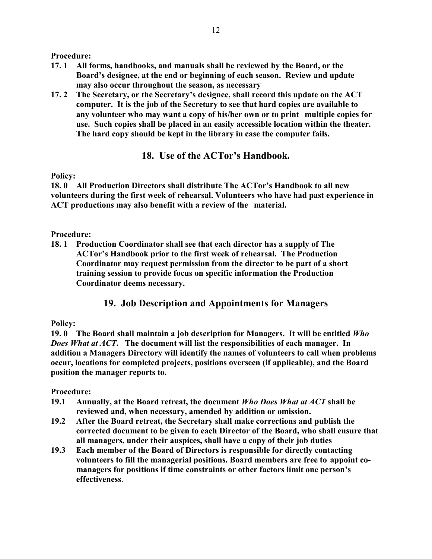Procedure:

- 17. 1 All forms, handbooks, and manuals shall be reviewed by the Board, or the Board's designee, at the end or beginning of each season. Review and update may also occur throughout the season, as necessary
- 17. 2 The Secretary, or the Secretary's designee, shall record this update on the ACT computer. It is the job of the Secretary to see that hard copies are available to any volunteer who may want a copy of his/her own or to print multiple copies for use. Such copies shall be placed in an easily accessible location within the theater. The hard copy should be kept in the library in case the computer fails.

## 18. Use of the ACTor's Handbook.

#### Policy:

18. 0 All Production Directors shall distribute The ACTor's Handbook to all new volunteers during the first week of rehearsal. Volunteers who have had past experience in ACT productions may also benefit with a review of the material.

#### Procedure:

18. 1 Production Coordinator shall see that each director has a supply of The ACTor's Handbook prior to the first week of rehearsal. The Production Coordinator may request permission from the director to be part of a short training session to provide focus on specific information the Production Coordinator deems necessary.

### 19. Job Description and Appointments for Managers

#### Policy:

19. 0 The Board shall maintain a job description for Managers. It will be entitled Who Does What at ACT. The document will list the responsibilities of each manager. In addition a Managers Directory will identify the names of volunteers to call when problems occur, locations for completed projects, positions overseen (if applicable), and the Board position the manager reports to.

- 19.1 Annually, at the Board retreat, the document Who Does What at ACT shall be reviewed and, when necessary, amended by addition or omission.
- 19.2 After the Board retreat, the Secretary shall make corrections and publish the corrected document to be given to each Director of the Board, who shall ensure that all managers, under their auspices, shall have a copy of their job duties
- 19.3 Each member of the Board of Directors is responsible for directly contacting volunteers to fill the managerial positions. Board members are free to appoint co managers for positions if time constraints or other factors limit one person's effectiveness.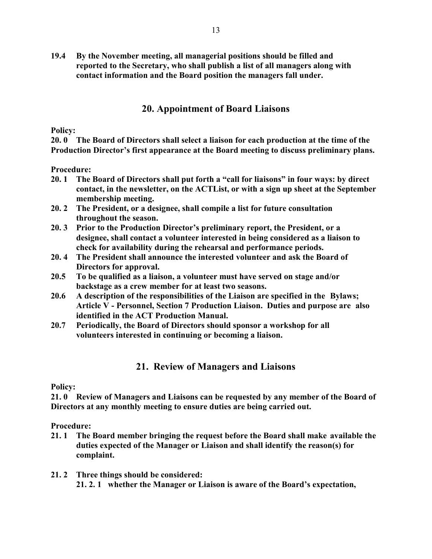19.4 By the November meeting, all managerial positions should be filled and reported to the Secretary, who shall publish a list of all managers along with contact information and the Board position the managers fall under.

#### 20. Appointment of Board Liaisons

Policy:

20. 0 The Board of Directors shall select a liaison for each production at the time of the Production Director's first appearance at the Board meeting to discuss preliminary plans.

Procedure:

- 20. 1 The Board of Directors shall put forth a "call for liaisons" in four ways: by direct contact, in the newsletter, on the ACTList, or with a sign up sheet at the September membership meeting.
- 20. 2 The President, or a designee, shall compile a list for future consultation throughout the season.
- 20. 3 Prior to the Production Director's preliminary report, the President, or a designee, shall contact a volunteer interested in being considered as a liaison to check for availability during the rehearsal and performance periods.
- 20. 4 The President shall announce the interested volunteer and ask the Board of Directors for approval.
- 20.5 To be qualified as a liaison, a volunteer must have served on stage and/or backstage as a crew member for at least two seasons.
- 20.6 A description of the responsibilities of the Liaison are specified in the Bylaws; Article V - Personnel, Section 7 Production Liaison. Duties and purpose are also identified in the ACT Production Manual.
- 20.7 Periodically, the Board of Directors should sponsor a workshop for all volunteers interested in continuing or becoming a liaison.

## 21. Review of Managers and Liaisons

Policy:

21. 0 Review of Managers and Liaisons can be requested by any member of the Board of Directors at any monthly meeting to ensure duties are being carried out.

- 21. 1 The Board member bringing the request before the Board shall make available the duties expected of the Manager or Liaison and shall identify the reason(s) for complaint.
- 21. 2 Three things should be considered: 21. 2. 1 whether the Manager or Liaison is aware of the Board's expectation,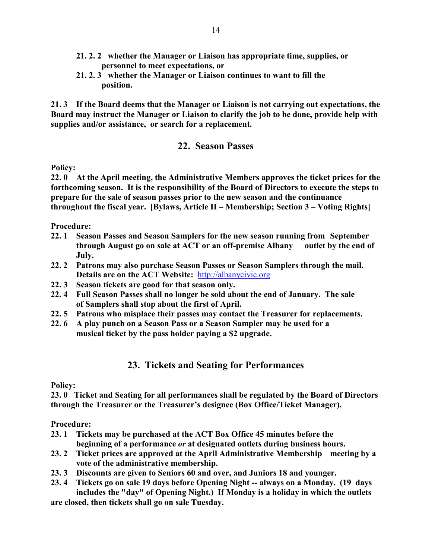- 21. 2. 2 whether the Manager or Liaison has appropriate time, supplies, or personnel to meet expectations, or
- 21. 2. 3 whether the Manager or Liaison continues to want to fill the position.

21. 3 If the Board deems that the Manager or Liaison is not carrying out expectations, the Board may instruct the Manager or Liaison to clarify the job to be done, provide help with supplies and/or assistance, or search for a replacement.

### 22. Season Passes

Policy:

22. 0 At the April meeting, the Administrative Members approves the ticket prices for the forthcoming season. It is the responsibility of the Board of Directors to execute the steps to prepare for the sale of season passes prior to the new season and the continuance throughout the fiscal year. [Bylaws, Article II – Membership; Section 3 – Voting Rights]

Procedure:

- 22. 1 Season Passes and Season Samplers for the new season running from September through August go on sale at ACT or an off-premise Albany outlet by the end of July.
- 22. 2 Patrons may also purchase Season Passes or Season Samplers through the mail. Details are on the ACT Website: http://albanycivic.org
- 22. 3 Season tickets are good for that season only.
- 22. 4 Full Season Passes shall no longer be sold about the end of January. The sale of Samplers shall stop about the first of April.
- 22. 5 Patrons who misplace their passes may contact the Treasurer for replacements.
- 22. 6 A play punch on a Season Pass or a Season Sampler may be used for a musical ticket by the pass holder paying a \$2 upgrade.

### 23. Tickets and Seating for Performances

Policy:

23. 0 Ticket and Seating for all performances shall be regulated by the Board of Directors through the Treasurer or the Treasurer's designee (Box Office/Ticket Manager).

- 23. 1 Tickets may be purchased at the ACT Box Office 45 minutes before the beginning of a performance or at designated outlets during business hours.
- 23. 2 Ticket prices are approved at the April Administrative Membership meeting by a vote of the administrative membership.
- 23. 3 Discounts are given to Seniors 60 and over, and Juniors 18 and younger.
- 23. 4 Tickets go on sale 19 days before Opening Night -- always on a Monday. (19 days includes the "day" of Opening Night.) If Monday is a holiday in which the outlets are closed, then tickets shall go on sale Tuesday.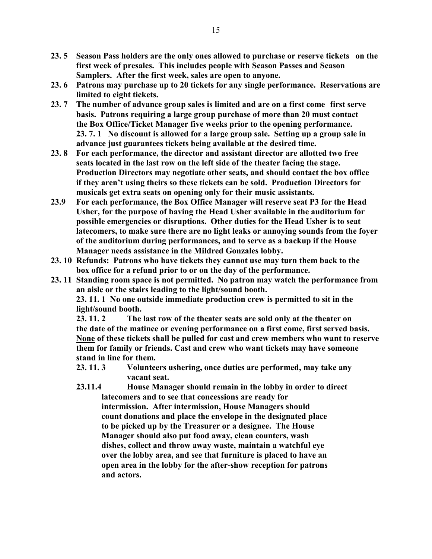- 23. 5 Season Pass holders are the only ones allowed to purchase or reserve tickets on the first week of presales. This includes people with Season Passes and Season Samplers. After the first week, sales are open to anyone.
- 23. 6 Patrons may purchase up to 20 tickets for any single performance. Reservations are limited to eight tickets.
- 23. 7 The number of advance group sales is limited and are on a first come first serve basis. Patrons requiring a large group purchase of more than 20 must contact the Box Office/Ticket Manager five weeks prior to the opening performance. 23. 7. 1 No discount is allowed for a large group sale. Setting up a group sale in advance just guarantees tickets being available at the desired time.
- 23. 8 For each performance, the director and assistant director are allotted two free seats located in the last row on the left side of the theater facing the stage. Production Directors may negotiate other seats, and should contact the box office if they aren't using theirs so these tickets can be sold. Production Directors for musicals get extra seats on opening only for their music assistants.
- 23.9 For each performance, the Box Office Manager will reserve seat P3 for the Head Usher, for the purpose of having the Head Usher available in the auditorium for possible emergencies or disruptions. Other duties for the Head Usher is to seat latecomers, to make sure there are no light leaks or annoying sounds from the foyer of the auditorium during performances, and to serve as a backup if the House Manager needs assistance in the Mildred Gonzales lobby.
- 23. 10 Refunds: Patrons who have tickets they cannot use may turn them back to the box office for a refund prior to or on the day of the performance.
- 23. 11 Standing room space is not permitted. No patron may watch the performance from an aisle or the stairs leading to the light/sound booth.

 23. 11. 1 No one outside immediate production crew is permitted to sit in the light/sound booth.

 23. 11. 2 The last row of the theater seats are sold only at the theater on the date of the matinee or evening performance on a first come, first served basis. None of these tickets shall be pulled for cast and crew members who want to reserve them for family or friends. Cast and crew who want tickets may have someone stand in line for them.

- 23. 11. 3 Volunteers ushering, once duties are performed, may take any vacant seat.
- 23.11.4 House Manager should remain in the lobby in order to direct latecomers and to see that concessions are ready for intermission. After intermission, House Managers should count donations and place the envelope in the designated place to be picked up by the Treasurer or a designee. The House Manager should also put food away, clean counters, wash dishes, collect and throw away waste, maintain a watchful eye over the lobby area, and see that furniture is placed to have an open area in the lobby for the after-show reception for patrons and actors.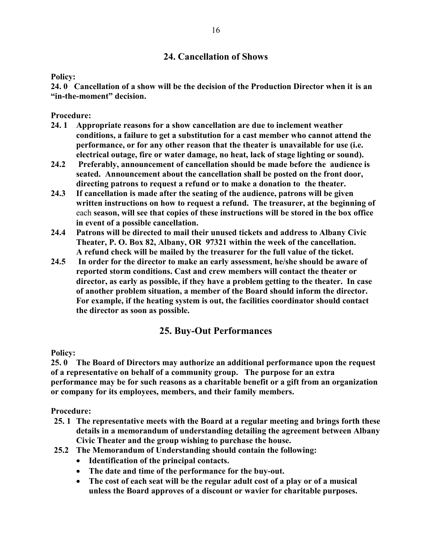### 24. Cancellation of Shows

#### Policy:

24. 0 Cancellation of a show will be the decision of the Production Director when it is an "in-the-moment" decision.

Procedure:

- 24. 1 Appropriate reasons for a show cancellation are due to inclement weather conditions, a failure to get a substitution for a cast member who cannot attend the performance, or for any other reason that the theater is unavailable for use (i.e. electrical outage, fire or water damage, no heat, lack of stage lighting or sound).
- 24.2 Preferably, announcement of cancellation should be made before the audience is seated. Announcement about the cancellation shall be posted on the front door, directing patrons to request a refund or to make a donation to the theater.
- 24.3 If cancellation is made after the seating of the audience, patrons will be given written instructions on how to request a refund. The treasurer, at the beginning of each season, will see that copies of these instructions will be stored in the box office in event of a possible cancellation.
- 24.4 Patrons will be directed to mail their unused tickets and address to Albany Civic Theater, P. O. Box 82, Albany, OR 97321 within the week of the cancellation. A refund check will be mailed by the treasurer for the full value of the ticket.
- 24.5 In order for the director to make an early assessment, he/she should be aware of reported storm conditions. Cast and crew members will contact the theater or director, as early as possible, if they have a problem getting to the theater. In case of another problem situation, a member of the Board should inform the director. For example, if the heating system is out, the facilities coordinator should contact the director as soon as possible.

# 25. Buy-Out Performances

Policy:

25. 0 The Board of Directors may authorize an additional performance upon the request of a representative on behalf of a community group. The purpose for an extra performance may be for such reasons as a charitable benefit or a gift from an organization or company for its employees, members, and their family members.

- 25. 1 The representative meets with the Board at a regular meeting and brings forth these details in a memorandum of understanding detailing the agreement between Albany Civic Theater and the group wishing to purchase the house.
- 25.2 The Memorandum of Understanding should contain the following:
	- Identification of the principal contacts.
	- The date and time of the performance for the buy-out.
	- The cost of each seat will be the regular adult cost of a play or of a musical unless the Board approves of a discount or wavier for charitable purposes.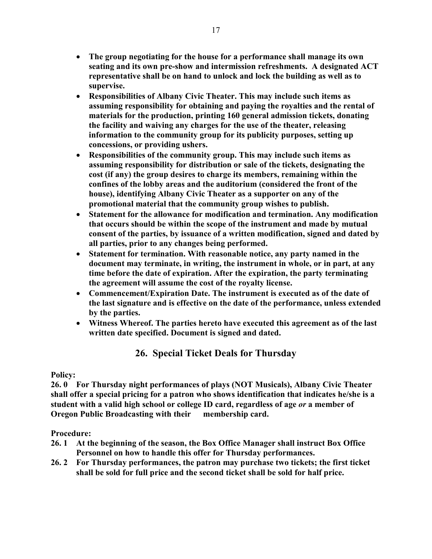- The group negotiating for the house for a performance shall manage its own seating and its own pre-show and intermission refreshments. A designated ACT representative shall be on hand to unlock and lock the building as well as to supervise.
- Responsibilities of Albany Civic Theater. This may include such items as assuming responsibility for obtaining and paying the royalties and the rental of materials for the production, printing 160 general admission tickets, donating the facility and waiving any charges for the use of the theater, releasing information to the community group for its publicity purposes, setting up concessions, or providing ushers.
- Responsibilities of the community group. This may include such items as assuming responsibility for distribution or sale of the tickets, designating the cost (if any) the group desires to charge its members, remaining within the confines of the lobby areas and the auditorium (considered the front of the house), identifying Albany Civic Theater as a supporter on any of the promotional material that the community group wishes to publish.
- Statement for the allowance for modification and termination. Any modification that occurs should be within the scope of the instrument and made by mutual consent of the parties, by issuance of a written modification, signed and dated by all parties, prior to any changes being performed.
- Statement for termination. With reasonable notice, any party named in the document may terminate, in writing, the instrument in whole, or in part, at any time before the date of expiration. After the expiration, the party terminating the agreement will assume the cost of the royalty license.
- Commencement/Expiration Date. The instrument is executed as of the date of the last signature and is effective on the date of the performance, unless extended by the parties.
- Witness Whereof. The parties hereto have executed this agreement as of the last written date specified. Document is signed and dated.

# 26. Special Ticket Deals for Thursday

#### Policy:

26. 0 For Thursday night performances of plays (NOT Musicals), Albany Civic Theater shall offer a special pricing for a patron who shows identification that indicates he/she is a student with a valid high school or college ID card, regardless of age or a member of Oregon Public Broadcasting with their membership card.

- 26. 1 At the beginning of the season, the Box Office Manager shall instruct Box Office Personnel on how to handle this offer for Thursday performances.
- 26. 2 For Thursday performances, the patron may purchase two tickets; the first ticket shall be sold for full price and the second ticket shall be sold for half price.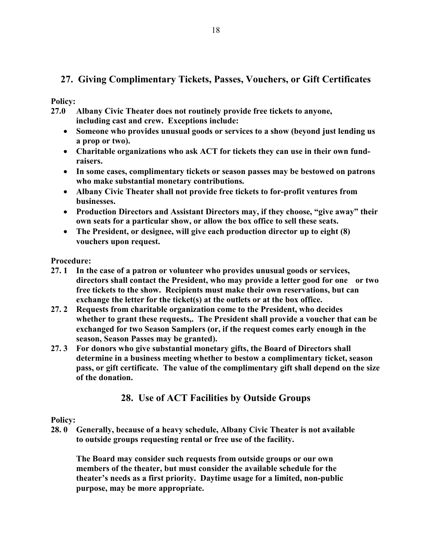# 27. Giving Complimentary Tickets, Passes, Vouchers, or Gift Certificates

#### Policy:

- 27.0 Albany Civic Theater does not routinely provide free tickets to anyone, including cast and crew. Exceptions include:
	- Someone who provides unusual goods or services to a show (beyond just lending us a prop or two).
	- Charitable organizations who ask ACT for tickets they can use in their own fundraisers.
	- In some cases, complimentary tickets or season passes may be bestowed on patrons who make substantial monetary contributions.
	- Albany Civic Theater shall not provide free tickets to for-profit ventures from businesses.
	- Production Directors and Assistant Directors may, if they choose, "give away" their own seats for a particular show, or allow the box office to sell these seats.
	- The President, or designee, will give each production director up to eight (8) vouchers upon request.

#### Procedure:

- 27. 1 In the case of a patron or volunteer who provides unusual goods or services, directors shall contact the President, who may provide a letter good for one or two free tickets to the show. Recipients must make their own reservations, but can exchange the letter for the ticket(s) at the outlets or at the box office.
- 27. 2 Requests from charitable organization come to the President, who decides whether to grant these requests,. The President shall provide a voucher that can be exchanged for two Season Samplers (or, if the request comes early enough in the season, Season Passes may be granted).
- 27. 3 For donors who give substantial monetary gifts, the Board of Directors shall determine in a business meeting whether to bestow a complimentary ticket, season pass, or gift certificate. The value of the complimentary gift shall depend on the size of the donation.

# 28. Use of ACT Facilities by Outside Groups

#### Policy:

28. 0 Generally, because of a heavy schedule, Albany Civic Theater is not available to outside groups requesting rental or free use of the facility.

 The Board may consider such requests from outside groups or our own members of the theater, but must consider the available schedule for the theater's needs as a first priority. Daytime usage for a limited, non-public purpose, may be more appropriate.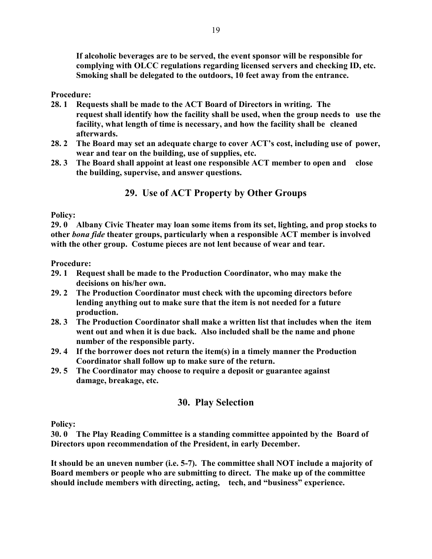If alcoholic beverages are to be served, the event sponsor will be responsible for complying with OLCC regulations regarding licensed servers and checking ID, etc. Smoking shall be delegated to the outdoors, 10 feet away from the entrance.

Procedure:

- 28. 1 Requests shall be made to the ACT Board of Directors in writing. The request shall identify how the facility shall be used, when the group needs to use the facility, what length of time is necessary, and how the facility shall be cleaned afterwards.
- 28. 2 The Board may set an adequate charge to cover ACT's cost, including use of power, wear and tear on the building, use of supplies, etc.
- 28. 3 The Board shall appoint at least one responsible ACT member to open and close the building, supervise, and answer questions.

# 29. Use of ACT Property by Other Groups

#### Policy:

29. 0 Albany Civic Theater may loan some items from its set, lighting, and prop stocks to other bona fide theater groups, particularly when a responsible ACT member is involved with the other group. Costume pieces are not lent because of wear and tear.

#### Procedure:

- 29. 1 Request shall be made to the Production Coordinator, who may make the decisions on his/her own.
- 29. 2 The Production Coordinator must check with the upcoming directors before lending anything out to make sure that the item is not needed for a future production.
- 28. 3 The Production Coordinator shall make a written list that includes when the item went out and when it is due back. Also included shall be the name and phone number of the responsible party.
- 29. 4 If the borrower does not return the item(s) in a timely manner the Production Coordinator shall follow up to make sure of the return.
- 29. 5 The Coordinator may choose to require a deposit or guarantee against damage, breakage, etc.

### 30. Play Selection

Policy:

30. 0 The Play Reading Committee is a standing committee appointed by the Board of Directors upon recommendation of the President, in early December.

It should be an uneven number (i.e. 5-7). The committee shall NOT include a majority of Board members or people who are submitting to direct. The make up of the committee should include members with directing, acting, tech, and "business" experience.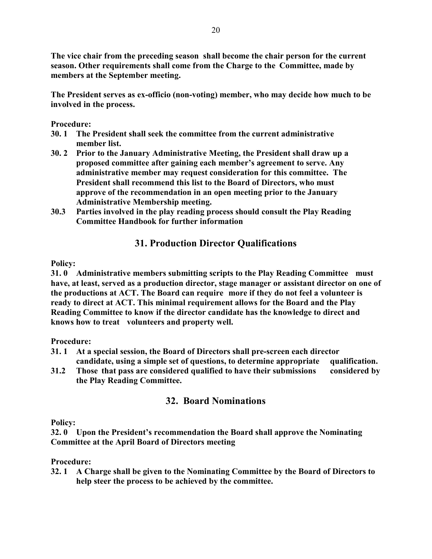The vice chair from the preceding season shall become the chair person for the current season. Other requirements shall come from the Charge to the Committee, made by members at the September meeting.

The President serves as ex-officio (non-voting) member, who may decide how much to be involved in the process.

Procedure:

- 30. 1 The President shall seek the committee from the current administrative member list.
- 30. 2 Prior to the January Administrative Meeting, the President shall draw up a proposed committee after gaining each member's agreement to serve. Any administrative member may request consideration for this committee. The President shall recommend this list to the Board of Directors, who must approve of the recommendation in an open meeting prior to the January Administrative Membership meeting.
- 30.3 Parties involved in the play reading process should consult the Play Reading Committee Handbook for further information

# 31. Production Director Qualifications

### Policy:

31. 0 Administrative members submitting scripts to the Play Reading Committee must have, at least, served as a production director, stage manager or assistant director on one of the productions at ACT. The Board can require more if they do not feel a volunteer is ready to direct at ACT. This minimal requirement allows for the Board and the Play Reading Committee to know if the director candidate has the knowledge to direct and knows how to treat volunteers and property well.

Procedure:

- 31. 1 At a special session, the Board of Directors shall pre-screen each director candidate, using a simple set of questions, to determine appropriate qualification.
- 31.2 Those that pass are considered qualified to have their submissions considered by the Play Reading Committee.

# 32. Board Nominations

Policy:

32. 0 Upon the President's recommendation the Board shall approve the Nominating Committee at the April Board of Directors meeting

Procedure:

32. 1 A Charge shall be given to the Nominating Committee by the Board of Directors to help steer the process to be achieved by the committee.